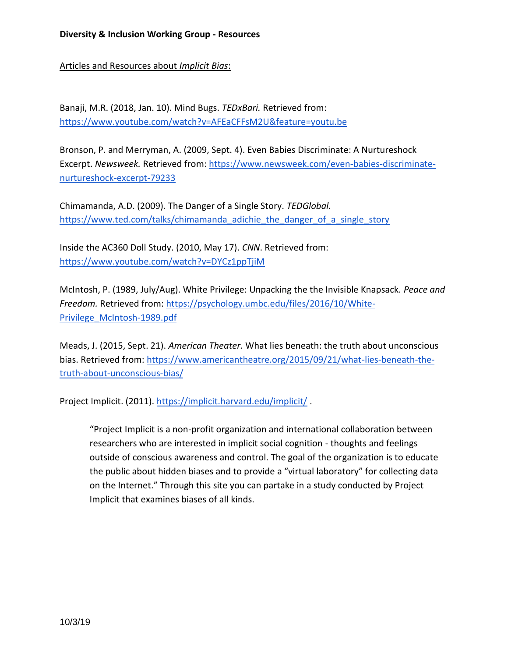Articles and Resources about *Implicit Bias*:

Banaji, M.R. (2018, Jan. 10). Mind Bugs. *TEDxBari.* Retrieved from: <https://www.youtube.com/watch?v=AFEaCFFsM2U&feature=youtu.be>

Bronson, P. and Merryman, A. (2009, Sept. 4). Even Babies Discriminate: A Nurtureshock Excerpt. *Newsweek.* Retrieved from: [https://www.newsweek.com/even-babies-discriminate](https://www.newsweek.com/even-babies-discriminate-nurtureshock-excerpt-79233)[nurtureshock-excerpt-79233](https://www.newsweek.com/even-babies-discriminate-nurtureshock-excerpt-79233)

Chimamanda, A.D. (2009). The Danger of a Single Story. *TEDGlobal.*  [https://www.ted.com/talks/chimamanda\\_adichie\\_the\\_danger\\_of\\_a\\_single\\_story](https://www.ted.com/talks/chimamanda_adichie_the_danger_of_a_single_story)

Inside the AC360 Doll Study. (2010, May 17). *CNN*. Retrieved from: <https://www.youtube.com/watch?v=DYCz1ppTjiM>

McIntosh, P. (1989, July/Aug). White Privilege: Unpacking the the Invisible Knapsack. *Peace and Freedom.* Retrieved from: [https://psychology.umbc.edu/files/2016/10/White-](https://psychology.umbc.edu/files/2016/10/White-Privilege_McIntosh-1989.pdf)[Privilege\\_McIntosh-1989.pdf](https://psychology.umbc.edu/files/2016/10/White-Privilege_McIntosh-1989.pdf)

Meads, J. (2015, Sept. 21). *American Theater.* What lies beneath: the truth about unconscious bias. Retrieved from[: https://www.americantheatre.org/2015/09/21/what-lies-beneath-the](https://www.americantheatre.org/2015/09/21/what-lies-beneath-the-truth-about-unconscious-bias/)[truth-about-unconscious-bias/](https://www.americantheatre.org/2015/09/21/what-lies-beneath-the-truth-about-unconscious-bias/)

Project Implicit. (2011)[. https://implicit.harvard.edu/implicit/](https://implicit.harvard.edu/implicit/) .

"Project Implicit is a non-profit organization and international collaboration between researchers who are interested in implicit social cognition - thoughts and feelings outside of conscious awareness and control. The goal of the organization is to educate the public about hidden biases and to provide a "virtual laboratory" for collecting data on the Internet." Through this site you can partake in a study conducted by Project Implicit that examines biases of all kinds.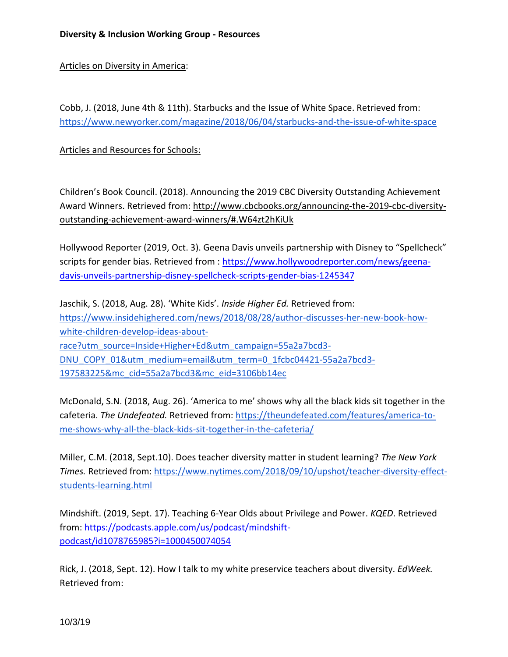## Articles on Diversity in America:

Cobb, J. (2018, June 4th & 11th). Starbucks and the Issue of White Space. Retrieved from: <https://www.newyorker.com/magazine/2018/06/04/starbucks-and-the-issue-of-white-space>

Articles and Resources for Schools:

Children's Book Council. (2018). Announcing the 2019 CBC Diversity Outstanding Achievement Award Winners. Retrieved from: http://www.cbcbooks.org/announcing-the-2019-cbc-diversityoutstanding-achievement-award-winners/#.W64zt2hKiUk

Hollywood Reporter (2019, Oct. 3). Geena Davis unveils partnership with Disney to "Spellcheck" scripts for gender bias. Retrieved from : [https://www.hollywoodreporter.com/news/geena](https://www.hollywoodreporter.com/news/geena-davis-unveils-partnership-disney-spellcheck-scripts-gender-bias-1245347)[davis-unveils-partnership-disney-spellcheck-scripts-gender-bias-1245347](https://www.hollywoodreporter.com/news/geena-davis-unveils-partnership-disney-spellcheck-scripts-gender-bias-1245347)

Jaschik, S. (2018, Aug. 28). 'White Kids'. *Inside Higher Ed.* Retrieved from: [https://www.insidehighered.com/news/2018/08/28/author-discusses-her-new-book-how](https://www.insidehighered.com/news/2018/08/28/author-discusses-her-new-book-how-white-children-develop-ideas-about-race?utm_source=Inside+Higher+Ed&utm_campaign=55a2a7bcd3-DNU_COPY_01&utm_medium=email&utm_term=0_1fcbc04421-55a2a7bcd3-197583225&mc_cid=55a2a7bcd3&mc_eid=3106bb14ec)[white-children-develop-ideas-about](https://www.insidehighered.com/news/2018/08/28/author-discusses-her-new-book-how-white-children-develop-ideas-about-race?utm_source=Inside+Higher+Ed&utm_campaign=55a2a7bcd3-DNU_COPY_01&utm_medium=email&utm_term=0_1fcbc04421-55a2a7bcd3-197583225&mc_cid=55a2a7bcd3&mc_eid=3106bb14ec)[race?utm\\_source=Inside+Higher+Ed&utm\\_campaign=55a2a7bcd3-](https://www.insidehighered.com/news/2018/08/28/author-discusses-her-new-book-how-white-children-develop-ideas-about-race?utm_source=Inside+Higher+Ed&utm_campaign=55a2a7bcd3-DNU_COPY_01&utm_medium=email&utm_term=0_1fcbc04421-55a2a7bcd3-197583225&mc_cid=55a2a7bcd3&mc_eid=3106bb14ec) [DNU\\_COPY\\_01&utm\\_medium=email&utm\\_term=0\\_1fcbc04421-55a2a7bcd3-](https://www.insidehighered.com/news/2018/08/28/author-discusses-her-new-book-how-white-children-develop-ideas-about-race?utm_source=Inside+Higher+Ed&utm_campaign=55a2a7bcd3-DNU_COPY_01&utm_medium=email&utm_term=0_1fcbc04421-55a2a7bcd3-197583225&mc_cid=55a2a7bcd3&mc_eid=3106bb14ec) [197583225&mc\\_cid=55a2a7bcd3&mc\\_eid=3106bb14ec](https://www.insidehighered.com/news/2018/08/28/author-discusses-her-new-book-how-white-children-develop-ideas-about-race?utm_source=Inside+Higher+Ed&utm_campaign=55a2a7bcd3-DNU_COPY_01&utm_medium=email&utm_term=0_1fcbc04421-55a2a7bcd3-197583225&mc_cid=55a2a7bcd3&mc_eid=3106bb14ec)

McDonald, S.N. (2018, Aug. 26). 'America to me' shows why all the black kids sit together in the cafeteria. *The Undefeated.* Retrieved from: [https://theundefeated.com/features/america-to](https://theundefeated.com/features/america-to-me-shows-why-all-the-black-kids-sit-together-in-the-cafeteria/)[me-shows-why-all-the-black-kids-sit-together-in-the-cafeteria/](https://theundefeated.com/features/america-to-me-shows-why-all-the-black-kids-sit-together-in-the-cafeteria/)

[Miller,](http://www.nytimes.com/by/claire-cain-miller) C.M. (2018, Sept.10). Does teacher diversity matter in student learning? *The New York Times.* Retrieved from[: https://www.nytimes.com/2018/09/10/upshot/teacher-diversity-effect](https://www.nytimes.com/2018/09/10/upshot/teacher-diversity-effect-students-learning.html)[students-learning.html](https://www.nytimes.com/2018/09/10/upshot/teacher-diversity-effect-students-learning.html)

Mindshift. (2019, Sept. 17). Teaching 6-Year Olds about Privilege and Power. *KQED*. Retrieved from[: https://podcasts.apple.com/us/podcast/mindshift](https://podcasts.apple.com/us/podcast/mindshift-podcast/id1078765985?i=1000450074054)[podcast/id1078765985?i=1000450074054](https://podcasts.apple.com/us/podcast/mindshift-podcast/id1078765985?i=1000450074054)

Rick, J. (2018, Sept. 12). How I talk to my white preservice teachers about diversity. *EdWeek.*  Retrieved from: